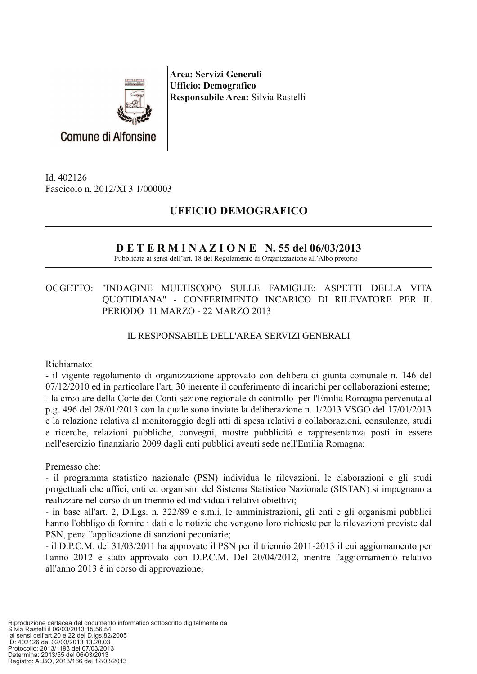

Area: Servizi Generali **Ufficio: Demografico** Responsabile Area: Silvia Rastelli

Id. 402126 Fascicolo n. 2012/XI 3 1/000003

**Comune di Alfonsine** 

# **UFFICIO DEMOGRAFICO**

# $D E T E R M I N A Z I O N E N.$  55 del 06/03/2013

Pubblicata ai sensi dell'art. 18 del Regolamento di Organizzazione all'Albo pretorio

#### OGGETTO: "INDAGINE MULTISCOPO SULLE FAMIGLIE: ASPETTI DELLA VITA QUOTIDIANA" - CONFERIMENTO INCARICO DI RILEVATORE PER IL PERIODO 11 MARZO - 22 MARZO 2013

# IL RESPONSABILE DELL'AREA SERVIZI GENERALI

## Richiamato:

- il vigente regolamento di organizzazione approvato con delibera di giunta comunale n. 146 del 07/12/2010 ed in particolare l'art. 30 inerente il conferimento di incarichi per collaborazioni esterne; - la circolare della Corte dei Conti sezione regionale di controllo per l'Emilia Romagna pervenuta al p.g. 496 del  $28/01/2013$  con la quale sono inviate la deliberazione n.  $1/2013$  VSGO del  $17/01/2013$ e la relazione relativa al monitoraggio degli atti di spesa relativi a collaborazioni, consulenze, studi e ricerche, relazioni pubbliche, convegni, mostre pubblicità e rappresentanza posti in essere nell'esercizio finanziario 2009 dagli enti pubblici aventi sede nell'Emilia Romagna;

## Premesso che:

- il programma statistico nazionale (PSN) individua le rilevazioni, le elaborazioni e gli studi progettuali che uffici, enti ed organismi del Sistema Statistico Nazionale (SISTAN) si impegnano a realizzare nel corso di un triennio ed individua i relativi obiettivi;

- in base all'art. 2, D.Lgs. n. 322/89 e s.m.i, le amministrazioni, gli enti e gli organismi pubblici hanno l'obbligo di fornire i dati e le notizie che vengono loro richieste per le rilevazioni previste dal PSN, pena l'applicazione di sanzioni pecuniarie;

- il D.P.C.M. del 31/03/2011 ha approvato il PSN per il triennio 2011-2013 il cui aggiornamento per l'anno 2012 è stato approvato con D.P.C.M. Del 20/04/2012, mentre l'aggiornamento relativo all'anno 2013 è in corso di approvazione;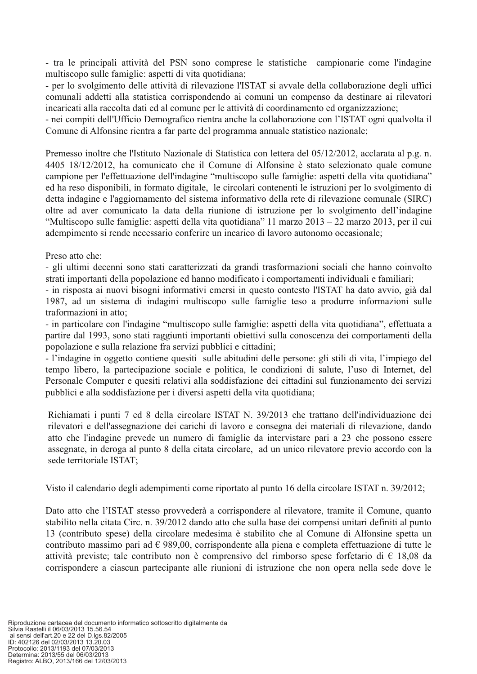- tra le principali attività del PSN sono comprese le statistiche campionarie come l'indagine multiscopo sulle famiglie: aspetti di vita quotidiana;

- per lo svolgimento delle attività di rilevazione l'ISTAT si avvale della collaborazione degli uffici comunali addetti alla statistica corrispondendo ai comuni un compenso da destinare ai rilevatori incaricati alla raccolta dati ed al comune per le attività di coordinamento ed organizzazione;

- nei compiti dell'Ufficio Demografico rientra anche la collaborazione con l'ISTAT ogni qualvolta il Comune di Alfonsine rientra a far parte del programma annuale statistico nazionale;

Premesso inoltre che l'Istituto Nazionale di Statistica con lettera del 05/12/2012, acclarata al p.g. n. 4405 18/12/2012, ha comunicato che il Comune di Alfonsine è stato selezionato quale comune campione per l'effettuazione dell'indagine "multiscopo sulle famiglie: aspetti della vita quotidiana" ed ha reso disponibili, in formato digitale, le circolari contenenti le istruzioni per lo svolgimento di detta indagine e l'aggiornamento del sistema informativo della rete di rilevazione comunale (SIRC) oltre ad aver comunicato la data della riunione di istruzione per lo svolgimento dell'indagine "Multiscopo sulle famiglie: aspetti della vita quotidiana" 11 marzo  $2013 - 22$  marzo  $2013$ , per il cui adempimento si rende necessario conferire un incarico di lavoro autonomo occasionale;

Preso atto che:

- gli ultimi decenni sono stati caratterizzati da grandi trasformazioni sociali che hanno coinvolto strati importanti della popolazione ed hanno modificato i comportamenti individuali e familiari;

- in risposta ai nuovi bisogni informativi emersi in questo contesto l'ISTAT ha dato avvio, già dal 1987, ad un sistema di indagini multiscopo sulle famiglie teso a produrre informazioni sulle traformazioni in atto:

- in particolare con l'indagine "multiscopo sulle famiglie: aspetti della vita quotidiana", effettuata a partire dal 1993, sono stati raggiunti importanti obiettivi sulla conoscenza dei comportamenti della popolazione e sulla relazione fra servizi pubblici e cittadini;

- l'indagine in oggetto contiene quesiti sulle abitudini delle persone: gli stili di vita, l'impiego del tempo libero, la partecipazione sociale e politica, le condizioni di salute, l'uso di Internet, del Personale Computer e quesiti relativi alla soddisfazione dei cittadini sul funzionamento dei servizi pubblici e alla soddisfazione per i diversi aspetti della vita quotidiana;

Richiamati i punti 7 ed 8 della circolare ISTAT N. 39/2013 che trattano dell'individuazione dei rilevatori e dell'assegnazione dei carichi di lavoro e consegna dei materiali di rilevazione, dando atto che l'indagine prevede un numero di famiglie da intervistare pari a 23 che possono essere assegnate, in deroga al punto 8 della citata circolare, ad un unico rilevatore previo accordo con la sede territoriale ISTAT:

Visto il calendario degli adempimenti come riportato al punto 16 della circolare ISTAT n. 39/2012;

Dato atto che l'ISTAT stesso provvederà a corrispondere al rilevatore, tramite il Comune, quanto stabilito nella citata Circ. n. 39/2012 dando atto che sulla base dei compensi unitari definiti al punto 13 (contributo spese) della circolare medesima è stabilito che al Comune di Alfonsine spetta un contributo massimo pari ad  $\epsilon$  989,00, corrispondente alla piena e completa effettuazione di tutte le attività previste; tale contributo non è comprensivo del rimborso spese forfetario di  $\epsilon$  18.08 da corrispondere a ciascun partecipante alle riunioni di istruzione che non opera nella sede dove le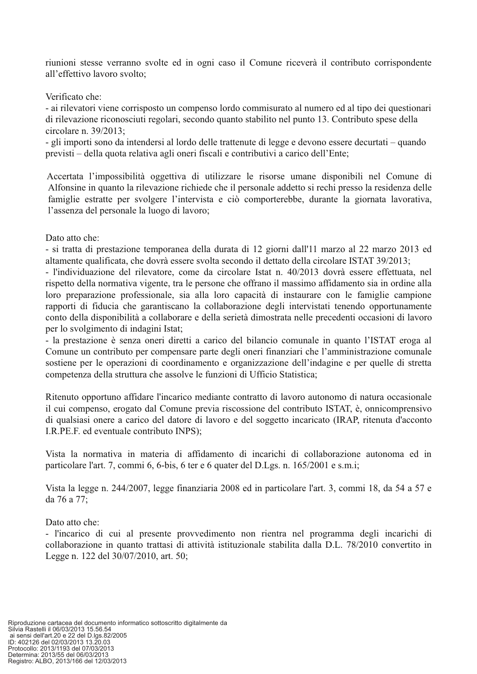riunioni stesse verranno svolte ed in ogni caso il Comune riceverà il contributo corrispondente all'effettivo lavoro svolto:

Verificato che:

- ai rilevatori viene corrisposto un compenso lordo commisurato al numero ed al tipo dei questionari di rilevazione riconosciuti regolari, secondo quanto stabilito nel punto 13. Contributo spese della circolare n.  $39/2013$ :

- gli importi sono da intendersi al lordo delle trattenute di legge e devono essere decurtati – quando previsti – della quota relativa agli oneri fiscali e contributivi a carico dell'Ente;

Accertata l'impossibilità oggettiva di utilizzare le risorse umane disponibili nel Comune di Alfonsine in quanto la rilevazione richiede che il personale addetto si rechi presso la residenza delle famiglie estratte per svolgere l'intervista e ciò comporterebbe, durante la giornata lavorativa, l'assenza del personale la luogo di lavoro;

Dato atto che:

- si tratta di prestazione temporanea della durata di 12 giorni dall'11 marzo al 22 marzo 2013 ed altamente qualificata, che dovrà essere svolta secondo il dettato della circolare ISTAT 39/2013;

- l'individuazione del rilevatore, come da circolare Istat n. 40/2013 dovrà essere effettuata, nel rispetto della normativa vigente, tra le persone che offrano il massimo affidamento sia in ordine alla loro preparazione professionale, sia alla loro capacità di instaurare con le famiglie campione rapporti di fiducia che garantiscano la collaborazione degli intervistati tenendo opportunamente conto della disponibilità a collaborare e della serietà dimostrata nelle precedenti occasioni di lavoro per lo svolgimento di indagini Istat;

- la prestazione è senza oneri diretti a carico del bilancio comunale in quanto l'ISTAT eroga al Comune un contributo per compensare parte degli oneri finanziari che l'amministrazione comunale sostiene per le operazioni di coordinamento e organizzazione dell'indagine e per quelle di stretta competenza della struttura che assolve le funzioni di Ufficio Statistica;

Ritenuto opportuno affidare l'incarico mediante contratto di lavoro autonomo di natura occasionale il cui compenso, erogato dal Comune previa riscossione del contributo ISTAT, è, onnicomprensivo di qualsiasi onere a carico del datore di lavoro e del soggetto incaricato (IRAP, ritenuta d'acconto I.R.PE.F. ed eventuale contributo INPS);

Vista la normativa in materia di affidamento di incarichi di collaborazione autonoma ed in particolare l'art. 7, commi 6, 6-bis, 6 ter e 6 quater del D.Lgs. n. 165/2001 e s.m.i;

Vista la legge n. 244/2007, legge finanziaria 2008 ed in particolare l'art. 3, commi 18, da 54 a 57 e da 76 a 77:

Dato atto che:

- l'incarico di cui al presente provvedimento non rientra nel programma degli incarichi di collaborazione in quanto trattasi di attività istituzionale stabilita dalla D.L. 78/2010 convertito in Legge n. 122 del 30/07/2010, art. 50;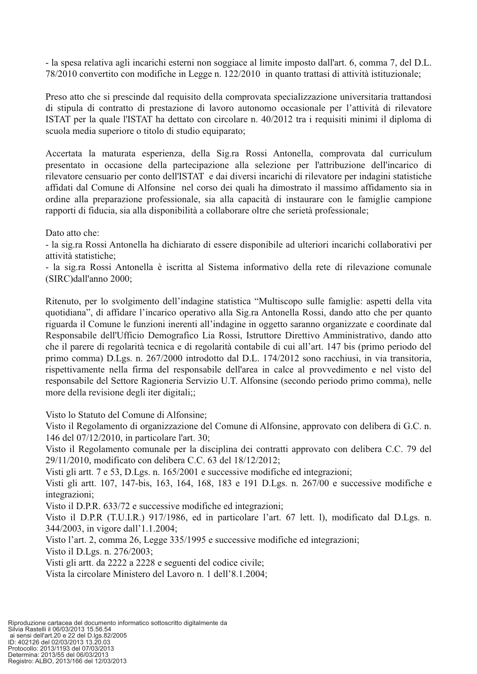- la spesa relativa agli incarichi esterni non soggiace al limite imposto dall'art. 6, comma 7, del D.L. 78/2010 convertito con modifiche in Legge n. 122/2010 in quanto trattasi di attività istituzionale;

Preso atto che si prescinde dal requisito della comprovata specializzazione universitaria trattandosi di stipula di contratto di prestazione di lavoro autonomo occasionale per l'attività di rilevatore ISTAT per la quale l'ISTAT ha dettato con circolare n. 40/2012 tra i requisiti minimi il diploma di scuola media superiore o titolo di studio equiparato:

Accertata la maturata esperienza, della Sig.ra Rossi Antonella, comprovata dal curriculum presentato in occasione della partecipazione alla selezione per l'attribuzione dell'incarico di rilevatore censuario per conto dell'ISTAT e dai diversi incarichi di rilevatore per indagini statistiche affidati dal Comune di Alfonsine nel corso dei quali ha dimostrato il massimo affidamento sia in ordine alla preparazione professionale, sia alla capacità di instaurare con le famiglie campione rapporti di fiducia, sia alla disponibilità a collaborare oltre che serietà professionale;

Dato atto che:

- la sig.ra Rossi Antonella ha dichiarato di essere disponibile ad ulteriori incarichi collaborativi per attività statistiche;

- la sig.ra Rossi Antonella è iscritta al Sistema informativo della rete di rilevazione comunale (SIRC)dall'anno 2000:

Ritenuto, per lo svolgimento dell'indagine statistica "Multiscopo sulle famiglie: aspetti della vita quotidiana", di affidare l'incarico operativo alla Sig.ra Antonella Rossi, dando atto che per quanto riguarda il Comune le funzioni inerenti all'indagine in oggetto saranno organizzate e coordinate dal Responsabile dell'Ufficio Demografico Lia Rossi, Istruttore Direttivo Amministrativo, dando atto che il parere di regolarità tecnica e di regolarità contabile di cui all'art. 147 bis (primo periodo del primo comma) D.Lgs. n. 267/2000 introdotto dal D.L. 174/2012 sono racchiusi, in via transitoria, rispettivamente nella firma del responsabile dell'area in calce al provvedimento e nel visto del responsabile del Settore Ragioneria Servizio U.T. Alfonsine (secondo periodo primo comma), nelle more della revisione degli iter digitali;;

Visto lo Statuto del Comune di Alfonsine;

Visto il Regolamento di organizzazione del Comune di Alfonsine, approvato con delibera di G.C. n. 146 del 07/12/2010, in particolare l'art. 30;

Visto il Regolamento comunale per la disciplina dei contratti approvato con delibera C.C. 79 del 29/11/2010, modificato con delibera C.C. 63 del 18/12/2012:

Visti gli artt. 7 e 53, D.Lgs. n. 165/2001 e successive modifiche ed integrazioni;

Visti gli artt. 107, 147-bis, 163, 164, 168, 183 e 191 D.Lgs. n. 267/00 e successive modifiche e integrazioni;

Visto il D.P.R. 633/72 e successive modifiche ed integrazioni;

Visto il D.P.R (T.U.I.R.) 917/1986, ed in particolare l'art. 67 lett. 1), modificato dal D.Lgs. n. 344/2003, in vigore dall'1.1.2004;

Visto l'art. 2, comma 26, Legge 335/1995 e successive modifiche ed integrazioni;

Visto il D.Lgs. n. 276/2003;

Visti gli artt. da 2222 a 2228 e seguenti del codice civile;

Vista la circolare Ministero del Lavoro n. 1 dell'8.1.2004;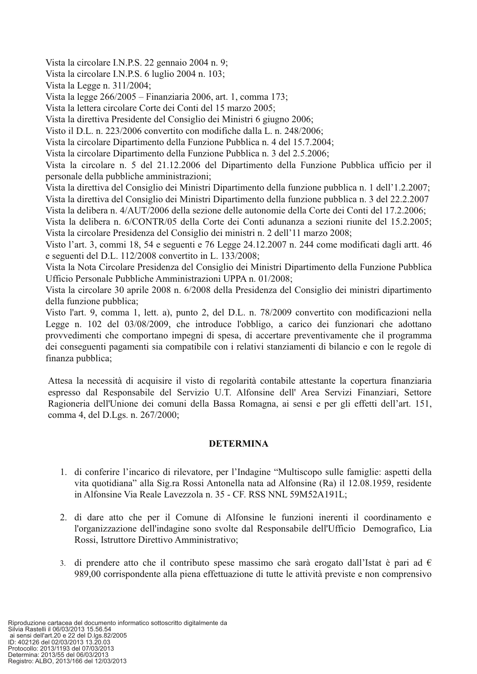Vista la circolare I.N.P.S. 22 gennaio 2004 n. 9;

Vista la circolare I.N.P.S. 6 luglio 2004 n. 103;

Vista la Legge n. 311/2004:

Vista la legge 266/2005 - Finanziaria 2006, art. 1, comma 173;

Vista la lettera circolare Corte dei Conti del 15 marzo 2005:

Vista la direttiva Presidente del Consiglio dei Ministri 6 giugno 2006:

Visto il D.L. n. 223/2006 convertito con modifiche dalla L. n. 248/2006:

Vista la circolare Dipartimento della Funzione Pubblica n. 4 del 15.7.2004;

Vista la circolare Dipartimento della Funzione Pubblica n. 3 del 2.5.2006;

Vista la circolare n. 5 del 21.12.2006 del Dipartimento della Funzione Pubblica ufficio per il personale della pubbliche amministrazioni;

Vista la direttiva del Consiglio dei Ministri Dipartimento della funzione pubblica n. 1 dell'1.2.2007; Vista la direttiva del Consiglio dei Ministri Dipartimento della funzione pubblica n. 3 del 22.2.2007

Vista la delibera n. 4/AUT/2006 della sezione delle autonomie della Corte dei Conti del 17.2.2006;

Vista la delibera n. 6/CONTR/05 della Corte dei Conti adunanza a sezioni riunite del 15.2.2005; Vista la circolare Presidenza del Consiglio dei ministri n. 2 dell'11 marzo 2008;

Visto l'art. 3, commi 18, 54 e seguenti e 76 Legge 24.12.2007 n. 244 come modificati dagli artt. 46 e seguenti del D.L. 112/2008 convertito in L. 133/2008;

Vista la Nota Circolare Presidenza del Consiglio dei Ministri Dipartimento della Funzione Pubblica Ufficio Personale Pubbliche Amministrazioni UPPA n. 01/2008;

Vista la circolare 30 aprile 2008 n. 6/2008 della Presidenza del Consiglio dei ministri dipartimento della funzione pubblica;

Visto l'art. 9, comma 1, lett. a), punto 2, del D.L. n. 78/2009 convertito con modificazioni nella Legge n. 102 del 03/08/2009, che introduce l'obbligo, a carico dei funzionari che adottano provvedimenti che comportano impegni di spesa, di accertare preventivamente che il programma dei conseguenti pagamenti sia compatibile con i relativi stanziamenti di bilancio e con le regole di finanza pubblica;

Attesa la necessità di acquisire il visto di regolarità contabile attestante la copertura finanziaria espresso dal Responsabile del Servizio U.T. Alfonsine dell'Area Servizi Finanziari, Settore Ragioneria dell'Unione dei comuni della Bassa Romagna, ai sensi e per gli effetti dell'art. 151, comma 4, del D.Lgs. n. 267/2000;

## **DETERMINA**

- 1. di conferire l'incarico di rilevatore, per l'Indagine "Multiscopo sulle famiglie: aspetti della vita quotidiana" alla Sig.ra Rossi Antonella nata ad Alfonsine (Ra) il 12.08.1959, residente in Alfonsine Via Reale Lavezzola n. 35 - CF. RSS NNL 59M52A191L;
- 2. di dare atto che per il Comune di Alfonsine le funzioni inerenti il coordinamento e l'organizzazione dell'indagine sono svolte dal Responsabile dell'Ufficio Demografico, Lia Rossi, Istruttore Direttivo Amministrativo;
- 3. di prendere atto che il contributo spese massimo che sarà erogato dall'Istat è pari ad  $\epsilon$ 989,00 corrispondente alla piena effettuazione di tutte le attività previste e non comprensivo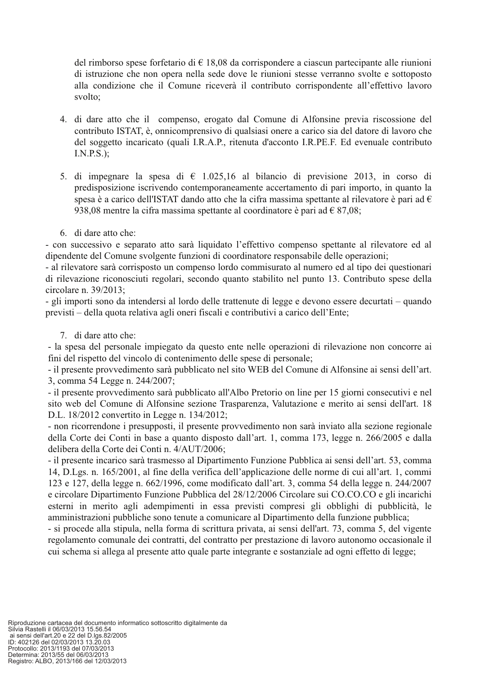del rimborso spese forfetario di  $\epsilon$  18,08 da corrispondere a ciascun partecipante alle riunioni di istruzione che non opera nella sede dove le riunioni stesse verranno svolte e sottoposto alla condizione che il Comune riceverà il contributo corrispondente all'effettivo lavoro svolto:

- 4. di dare atto che il compenso, erogato dal Comune di Alfonsine previa riscossione del contributo ISTAT, è, onnicomprensivo di qualsiasi onere a carico sia del datore di lavoro che del soggetto incaricato (quali I.R.A.P., ritenuta d'acconto I.R.PE.F. Ed evenuale contributo  $I.N.P.S.$ );
- 5. di impegnare la spesa di  $\epsilon$  1.025,16 al bilancio di previsione 2013, in corso di predisposizione iscrivendo contemporaneamente accertamento di pari importo, in quanto la spesa è a carico dell'ISTAT dando atto che la cifra massima spettante al rilevatore è pari ad  $\epsilon$ 938,08 mentre la cifra massima spettante al coordinatore è pari ad  $\epsilon$  87,08;
- 6. di dare atto che:

- con successivo e separato atto sarà liquidato l'effettivo compenso spettante al rilevatore ed al dipendente del Comune svolgente funzioni di coordinatore responsabile delle operazioni;

- al rilevatore sarà corrisposto un compenso lordo commisurato al numero ed al tipo dei questionari di rilevazione riconosciuti regolari, secondo quanto stabilito nel punto 13. Contributo spese della circolare n.  $39/2013$ :

- gli importi sono da intendersi al lordo delle trattenute di legge e devono essere decurtati – quando previsti – della quota relativa agli oneri fiscali e contributivi a carico dell'Ente;

7. di dare atto che:

- la spesa del personale impiegato da questo ente nelle operazioni di rilevazione non concorre ai fini del rispetto del vincolo di contenimento delle spese di personale;

- il presente provvedimento sarà pubblicato nel sito WEB del Comune di Alfonsine ai sensi dell'art. 3, comma 54 Legge n. 244/2007;

- il presente provvedimento sarà pubblicato all'Albo Pretorio on line per 15 giorni consecutivi e nel sito web del Comune di Alfonsine sezione Trasparenza, Valutazione e merito ai sensi dell'art. 18 D.L. 18/2012 convertito in Legge n. 134/2012;

- non ricorrendone i presupposti, il presente provvedimento non sarà inviato alla sezione regionale della Corte dei Conti in base a quanto disposto dall'art. 1, comma 173, legge n. 266/2005 e dalla delibera della Corte dei Conti n. 4/AUT/2006;

- il presente incarico sarà trasmesso al Dipartimento Funzione Pubblica ai sensi dell'art. 53, comma 14, D.Lgs. n. 165/2001, al fine della verifica dell'applicazione delle norme di cui all'art. 1, commi 123 e 127, della legge n. 662/1996, come modificato dall'art. 3, comma 54 della legge n. 244/2007 e circolare Dipartimento Funzione Pubblica del 28/12/2006 Circolare sui CO.CO.CO e gli incarichi esterni in merito agli adempimenti in essa previsti compresi gli obblighi di pubblicità, le amministrazioni pubbliche sono tenute a comunicare al Dipartimento della funzione pubblica;

- si procede alla stipula, nella forma di scrittura privata, ai sensi dell'art. 73, comma 5, del vigente regolamento comunale dei contratti, del contratto per prestazione di lavoro autonomo occasionale il cui schema si allega al presente atto quale parte integrante e sostanziale ad ogni effetto di legge;